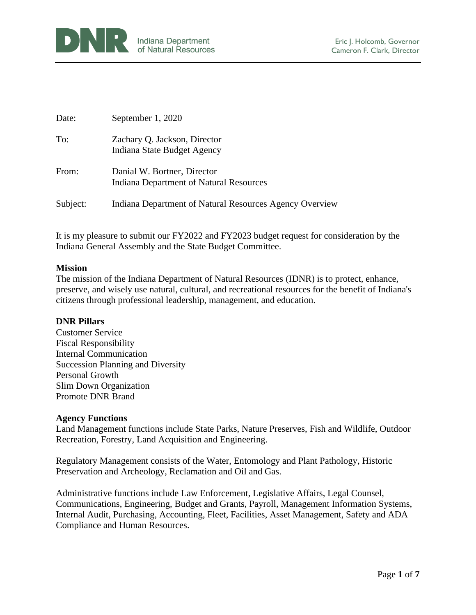

| Date:    | September 1, 2020                                                      |
|----------|------------------------------------------------------------------------|
| To:      | Zachary Q. Jackson, Director<br>Indiana State Budget Agency            |
| From:    | Danial W. Bortner, Director<br>Indiana Department of Natural Resources |
| Subject: | Indiana Department of Natural Resources Agency Overview                |

It is my pleasure to submit our FY2022 and FY2023 budget request for consideration by the Indiana General Assembly and the State Budget Committee.

#### **Mission**

The mission of the Indiana Department of Natural Resources (IDNR) is to protect, enhance, preserve, and wisely use natural, cultural, and recreational resources for the benefit of Indiana's citizens through professional leadership, management, and education.

#### **DNR Pillars**

Customer Service Fiscal Responsibility Internal Communication Succession Planning and Diversity Personal Growth Slim Down Organization Promote DNR Brand

#### **Agency Functions**

Land Management functions include State Parks, Nature Preserves, Fish and Wildlife, Outdoor Recreation, Forestry, Land Acquisition and Engineering.

Regulatory Management consists of the Water, Entomology and Plant Pathology, Historic Preservation and Archeology, Reclamation and Oil and Gas.

Administrative functions include Law Enforcement, Legislative Affairs, Legal Counsel, Communications, Engineering, Budget and Grants, Payroll, Management Information Systems, Internal Audit, Purchasing, Accounting, Fleet, Facilities, Asset Management, Safety and ADA Compliance and Human Resources.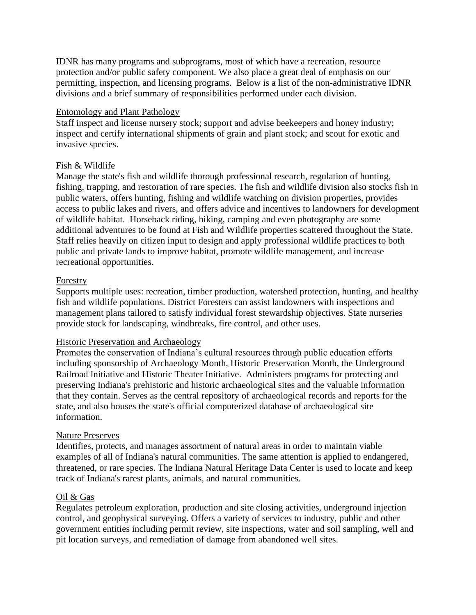IDNR has many programs and subprograms, most of which have a recreation, resource protection and/or public safety component. We also place a great deal of emphasis on our permitting, inspection, and licensing programs. Below is a list of the non-administrative IDNR divisions and a brief summary of responsibilities performed under each division.

## Entomology and Plant Pathology

Staff inspect and license nursery stock; support and advise beekeepers and honey industry; inspect and certify international shipments of grain and plant stock; and scout for exotic and invasive species.

## Fish & Wildlife

Manage the state's fish and wildlife thorough professional research, regulation of hunting, fishing, trapping, and restoration of rare species. The fish and wildlife division also stocks fish in public waters, offers hunting, fishing and wildlife watching on division properties, provides access to public lakes and rivers, and offers advice and incentives to landowners for development of wildlife habitat. Horseback riding, hiking, camping and even photography are some additional adventures to be found at Fish and Wildlife properties scattered throughout the State. Staff relies heavily on citizen input to design and apply professional wildlife practices to both public and private lands to improve habitat, promote wildlife management, and increase recreational opportunities.

## Forestry

Supports multiple uses: recreation, timber production, watershed protection, hunting, and healthy fish and wildlife populations. District Foresters can assist landowners with inspections and management plans tailored to satisfy individual forest stewardship objectives. State nurseries provide stock for landscaping, windbreaks, fire control, and other uses.

## Historic Preservation and Archaeology

Promotes the conservation of Indiana's cultural resources through public education efforts including sponsorship of Archaeology Month, Historic Preservation Month, the Underground Railroad Initiative and Historic Theater Initiative. Administers programs for protecting and preserving Indiana's prehistoric and historic archaeological sites and the valuable information that they contain. Serves as the central repository of archaeological records and reports for the state, and also houses the state's official computerized database of archaeological site information.

# Nature Preserves

Identifies, protects, and manages assortment of natural areas in order to maintain viable examples of all of Indiana's natural communities. The same attention is applied to endangered, threatened, or rare species. The Indiana Natural Heritage Data Center is used to locate and keep track of Indiana's rarest plants, animals, and natural communities.

## Oil & Gas

Regulates petroleum exploration, production and site closing activities, underground injection control, and geophysical surveying. Offers a variety of services to industry, public and other government entities including permit review, site inspections, water and soil sampling, well and pit location surveys, and remediation of damage from abandoned well sites.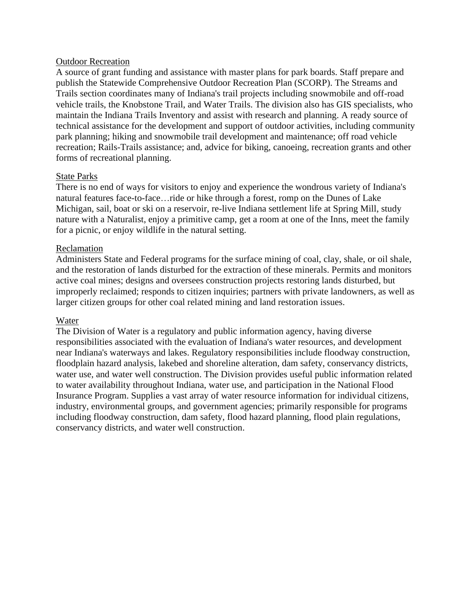#### Outdoor Recreation

A source of grant funding and assistance with master plans for park boards. Staff prepare and publish the Statewide Comprehensive Outdoor Recreation Plan (SCORP). The Streams and Trails section coordinates many of Indiana's trail projects including snowmobile and off-road vehicle trails, the Knobstone Trail, and Water Trails. The division also has GIS specialists, who maintain the Indiana Trails Inventory and assist with research and planning. A ready source of technical assistance for the development and support of outdoor activities, including community park planning; hiking and snowmobile trail development and maintenance; off road vehicle recreation; Rails-Trails assistance; and, advice for biking, canoeing, recreation grants and other forms of recreational planning.

## State Parks

There is no end of ways for visitors to enjoy and experience the wondrous variety of Indiana's natural features face-to-face…ride or hike through a forest, romp on the Dunes of Lake Michigan, sail, boat or ski on a reservoir, re-live Indiana settlement life at Spring Mill, study nature with a Naturalist, enjoy a primitive camp, get a room at one of the Inns, meet the family for a picnic, or enjoy wildlife in the natural setting.

#### Reclamation

Administers State and Federal programs for the surface mining of coal, clay, shale, or oil shale, and the restoration of lands disturbed for the extraction of these minerals. Permits and monitors active coal mines; designs and oversees construction projects restoring lands disturbed, but improperly reclaimed; responds to citizen inquiries; partners with private landowners, as well as larger citizen groups for other coal related mining and land restoration issues.

## Water

The Division of Water is a regulatory and public information agency, having diverse responsibilities associated with the evaluation of Indiana's water resources, and development near Indiana's waterways and lakes. Regulatory responsibilities include floodway construction, floodplain hazard analysis, lakebed and shoreline alteration, dam safety, conservancy districts, water use, and water well construction. The Division provides useful public information related to water availability throughout Indiana, water use, and participation in the National Flood Insurance Program. Supplies a vast array of water resource information for individual citizens, industry, environmental groups, and government agencies; primarily responsible for programs including floodway construction, dam safety, flood hazard planning, flood plain regulations, conservancy districts, and water well construction.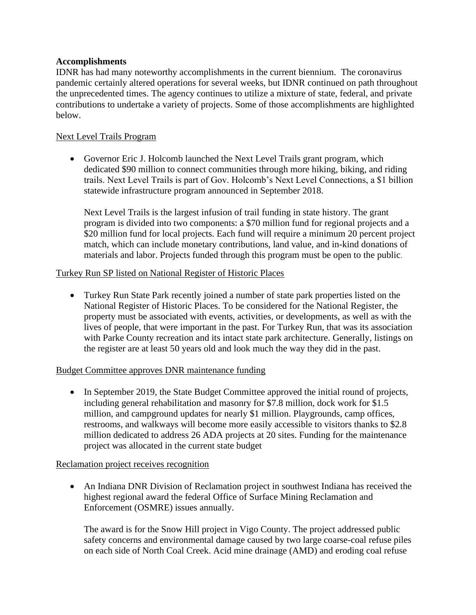# **Accomplishments**

IDNR has had many noteworthy accomplishments in the current biennium. The coronavirus pandemic certainly altered operations for several weeks, but IDNR continued on path throughout the unprecedented times. The agency continues to utilize a mixture of state, federal, and private contributions to undertake a variety of projects. Some of those accomplishments are highlighted below.

## Next Level Trails Program

• Governor Eric J. Holcomb launched the Next Level Trails grant program, which dedicated \$90 million to connect communities through more hiking, biking, and riding trails. Next Level Trails is part of Gov. Holcomb's Next Level Connections, a \$1 billion statewide infrastructure program announced in September 2018.

Next Level Trails is the largest infusion of trail funding in state history. The grant program is divided into two components: a \$70 million fund for regional projects and a \$20 million fund for local projects. Each fund will require a minimum 20 percent project match, which can include monetary contributions, land value, and in-kind donations of materials and labor. Projects funded through this program must be open to the public.

## Turkey Run SP listed on National Register of Historic Places

• Turkey Run State Park recently joined a number of state park properties listed on the National Register of Historic Places. To be considered for the National Register, the property must be associated with events, activities, or developments, as well as with the lives of people, that were important in the past. For Turkey Run, that was its association with Parke County recreation and its intact state park architecture. Generally, listings on the register are at least 50 years old and look much the way they did in the past.

## Budget Committee approves DNR maintenance funding

• In September 2019, the State Budget Committee approved the initial round of projects, including general rehabilitation and masonry for \$7.8 million, dock work for \$1.5 million, and campground updates for nearly \$1 million. Playgrounds, camp offices, restrooms, and walkways will become more easily accessible to visitors thanks to \$2.8 million dedicated to address 26 ADA projects at 20 sites. Funding for the maintenance project was allocated in the current state budget

## Reclamation project receives recognition

• An Indiana DNR Division of Reclamation project in southwest Indiana has received the highest regional award the federal Office of Surface Mining Reclamation and Enforcement (OSMRE) issues annually.

The award is for the Snow Hill project in Vigo County. The project addressed public safety concerns and environmental damage caused by two large coarse-coal refuse piles on each side of North Coal Creek. Acid mine drainage (AMD) and eroding coal refuse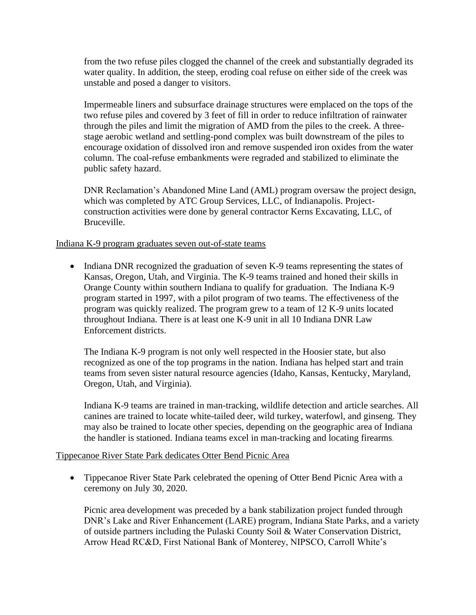from the two refuse piles clogged the channel of the creek and substantially degraded its water quality. In addition, the steep, eroding coal refuse on either side of the creek was unstable and posed a danger to visitors.

Impermeable liners and subsurface drainage structures were emplaced on the tops of the two refuse piles and covered by 3 feet of fill in order to reduce infiltration of rainwater through the piles and limit the migration of AMD from the piles to the creek. A threestage aerobic wetland and settling-pond complex was built downstream of the piles to encourage oxidation of dissolved iron and remove suspended iron oxides from the water column. The coal-refuse embankments were regraded and stabilized to eliminate the public safety hazard.

DNR Reclamation's Abandoned Mine Land (AML) program oversaw the project design, which was completed by ATC Group Services, LLC, of Indianapolis. Projectconstruction activities were done by general contractor Kerns Excavating, LLC, of Bruceville.

## Indiana K-9 program graduates seven out-of-state teams

• Indiana DNR recognized the graduation of seven K-9 teams representing the states of Kansas, Oregon, Utah, and Virginia. The K-9 teams trained and honed their skills in Orange County within southern Indiana to qualify for graduation. The Indiana K-9 program started in 1997, with a pilot program of two teams. The effectiveness of the program was quickly realized. The program grew to a team of 12 K-9 units located throughout Indiana. There is at least one K-9 unit in all 10 Indiana DNR Law Enforcement districts.

The Indiana K-9 program is not only well respected in the Hoosier state, but also recognized as one of the top programs in the nation. Indiana has helped start and train teams from seven sister natural resource agencies (Idaho, Kansas, Kentucky, Maryland, Oregon, Utah, and Virginia).

Indiana K-9 teams are trained in man-tracking, wildlife detection and article searches. All canines are trained to locate white-tailed deer, wild turkey, waterfowl, and ginseng. They may also be trained to locate other species, depending on the geographic area of Indiana the handler is stationed. Indiana teams excel in man-tracking and locating firearms.

## Tippecanoe River State Park dedicates Otter Bend Picnic Area

• Tippecanoe River State Park celebrated the opening of Otter Bend Picnic Area with a ceremony on July 30, 2020.

Picnic area development was preceded by a bank stabilization project funded through DNR's Lake and River Enhancement (LARE) program, Indiana State Parks, and a variety of outside partners including the Pulaski County Soil & Water Conservation District, Arrow Head RC&D, First National Bank of Monterey, NIPSCO, Carroll White's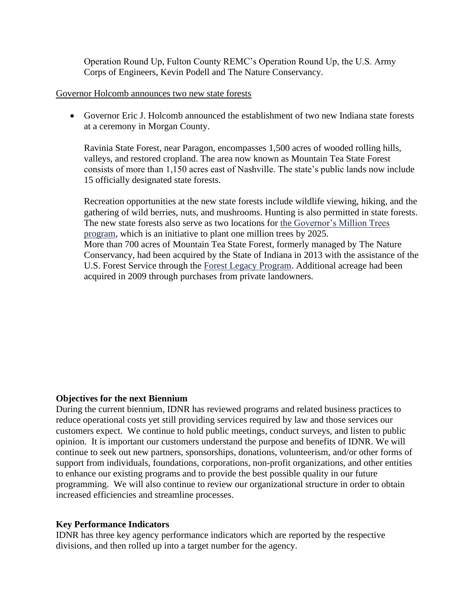Operation Round Up, Fulton County REMC's Operation Round Up, the U.S. Army Corps of Engineers, Kevin Podell and The Nature Conservancy.

#### Governor Holcomb announces two new state forests

• Governor Eric J. Holcomb announced the establishment of two new Indiana state forests at a ceremony in Morgan County.

Ravinia State Forest, near Paragon, encompasses 1,500 acres of wooded rolling hills, valleys, and restored cropland. The area now known as Mountain Tea State Forest consists of more than 1,150 acres east of Nashville. The state's public lands now include 15 officially designated state forests.

Recreation opportunities at the new state forests include wildlife viewing, hiking, and the gathering of wild berries, nuts, and mushrooms. Hunting is also permitted in state forests. The new state forests also serve as two locations for [the Governor's Million Trees](https://www.in.gov/dnr/forestry/10343.htm)  [program,](https://www.in.gov/dnr/forestry/10343.htm) which is an initiative to plant one million trees by 2025. More than 700 acres of Mountain Tea State Forest, formerly managed by The Nature Conservancy, had been acquired by the State of Indiana in 2013 with the assistance of the U.S. Forest Service through the [Forest Legacy Program.](https://www.in.gov/dnr/forestry/4569.htm) Additional acreage had been acquired in 2009 through purchases from private landowners.

## **Objectives for the next Biennium**

During the current biennium, IDNR has reviewed programs and related business practices to reduce operational costs yet still providing services required by law and those services our customers expect. We continue to hold public meetings, conduct surveys, and listen to public opinion. It is important our customers understand the purpose and benefits of IDNR. We will continue to seek out new partners, sponsorships, donations, volunteerism, and/or other forms of support from individuals, foundations, corporations, non-profit organizations, and other entities to enhance our existing programs and to provide the best possible quality in our future programming. We will also continue to review our organizational structure in order to obtain increased efficiencies and streamline processes.

## **Key Performance Indicators**

IDNR has three key agency performance indicators which are reported by the respective divisions, and then rolled up into a target number for the agency.